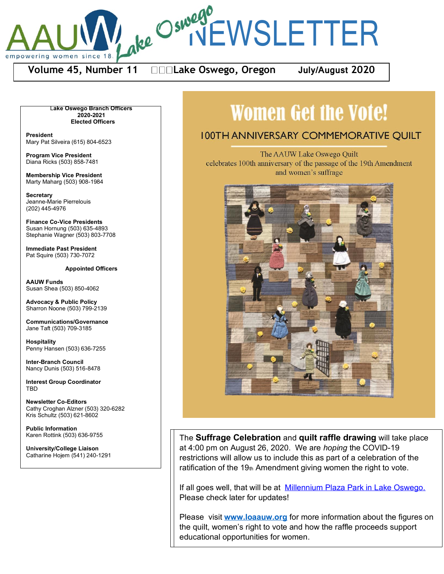

**Volume 45, Number 11 Lake Oswego, Oregon July/August 2020**

L**ake Oswego Branch Officers 2020-2021 Elected Officers**

**President** Mary Pat Silveira (615) 804-6523

**Program Vice President** Diana Ricks (503) 858-7481

**Membership Vice President** Marty Maharg (503) 908-1984

**Secretary** Jeanne-Marie Pierrelouis (202) 445-4976

**Finance Co-Vice Presidents** Susan Hornung (503) 635-4893 Stephanie Wagner (503) 803-7708

**Immediate Past President** Pat Squire (503) 730-7072

**Appointed Officers**

**AAUW Funds** Susan Shea (503) 850-4062

**Advocacy & Public Policy** Sharron Noone (503) 799-2139

**Communications/Governance** Jane Taft (503) 709-3185

**Hospitality** Penny Hansen (503) 636-7255

**Inter-Branch Council** Nancy Dunis (503) 516-8478

**Interest Group Coordinator TBD** 

**Newsletter Co-Editors** Cathy Croghan Alzner (503) 320-6282 Kris Schultz (503) 621-8602

**Public Information** Karen Rottink (503) 636-9755

**University/College Liaison** Catharine Hojem (541) 240-1291

# **Women Get the Vote!**

# **IOOTH ANNIVERSARY COMMEMORATIVE OUILT**

The AAUW Lake Oswego Quilt celebrates 100th anniversary of the passage of the 19th Amendment and women's suffrage



The **Suffrage Celebration** and **quilt raffle drawing** will take place The **Suffrage Celebration** and **quilt raffle drawing** will take place at 4:00 pm on August 26, 2020. We are *hoping* the COVID-19 at 4:00 pm on August 26, 2020. We are *hoping* the COVID-19 restrictions will allow us to include this as part of a celebration of the restrictions will allow us to include this as part of a celebration of the ratification of the 19th Amendment giving women the right to vote.

If all goes well, that will be at Millennium Plaza Park in Lake Oswego. Please check later for updates! Please check later for updates!

Please visit [www.loaauw.org](http://www.loaauw.org/) for more information about the figures on Please visit **[www.loaauw.org](http://www.loaauw.org/)** for more information about the figures on the quilt, women's right to vote and how the raffle proceeds support educational opportunities for women. educational opportunities for women.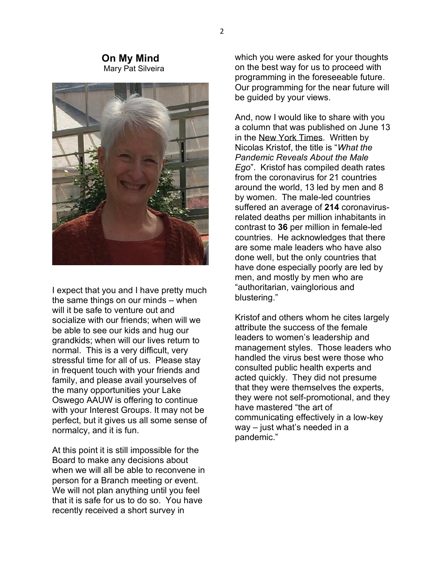#### **On My Mind**Mary Pat Silveira



I expect that you and I have pretty much the same things on our minds  $-$  when will it be safe to venture out and socialize with our friends; when will we be able to see our kids and hug our grandkids; when will our lives return to normal. This is a very difficult, very stressful time for all of us. Please stay in frequent touch with your friends and family, and please avail yourselves of the many opportunities your Lake Oswego AAUW is offering to continue with your Interest Groups. It may not be perfect, but it gives us all some sense of normalcy, and it is fun.

At this point it is still impossible for the Board to make any decisions about when we will all be able to reconvene in person for a Branch meeting or event. We will not plan anything until you feel that it is safe for us to do so. You have recently received a short survey in

which you were asked for your thoughts on the best way for us to proceed with programming in the foreseeable future. Our programming for the near future will be guided by your views.

And, now I would like to share with you a column that was published on June 13 in the New York Times. Written by Nicolas Kristof, the title is "*What the Pandemic Reveals About the Male Ego*´. Kristof has compiled death rates from the coronavirus for 21 countries around the world, 13 led by men and 8 by women. The male-led countries suffered an average of **214** coronavirusrelated deaths per million inhabitants in contrast to **36** per million in female-led countries. He acknowledges that there are some male leaders who have also done well, but the only countries that have done especially poorly are led by men, and mostly by men who are "authoritarian, vainglorious and blustering."

Kristof and others whom he cites largely attribute the success of the female leaders to women's leadership and management styles. Those leaders who handled the virus best were those who consulted public health experts and acted quickly. They did not presume that they were themselves the experts, they were not self-promotional, and they haye mastered "the art of communicating effectively in a low-key  $way - just what's needed in a$ pandemic."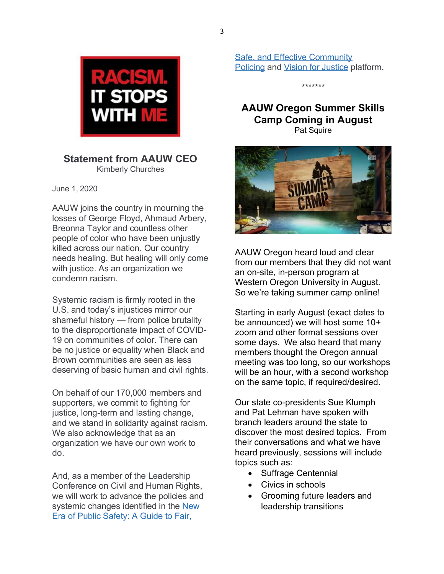

# **Statement from AAUW CEO**  Kimberly Churches

June 1, 2020

AAUW joins the country in mourning the losses of George Floyd, Ahmaud Arbery, Breonna Taylor and countless other people of color who have been unjustly killed across our nation. Our country needs healing. But healing will only come with justice. As an organization we condemn racism.

Systemic racism is firmly rooted in the U.S. and today's injustices mirror our shameful history  $-$  from police brutality to the disproportionate impact of COVID-19 on communities of color. There can be no justice or equality when Black and Brown communities are seen as less deserving of basic human and civil rights.

On behalf of our 170,000 members and supporters, we commit to fighting for justice, long-term and lasting change, and we stand in solidarity against racism. We also acknowledge that as an organization we have our own work to do.

And, as a member of the Leadership Conference on Civil and Human Rights, we will work to advance the policies and systemic changes identified in the New [Era of Public Safety: A Guide to Fair,](https://policing.civilrights.org/report/) 

[Safe, and Effective Community](https://policing.civilrights.org/report/)  [Policing](https://policing.civilrights.org/report/) and [Vision for Justice](http://civilrightsdocs.info/pdf/reports/Vision-For-Justice-2020-SHORT.pdf) platform.

\*\*\*\*\*\*\*

# **AAUW Oregon Summer Skills Camp Coming in August** Pat Squire



AAUW Oregon heard loud and clear from our members that they did not want an on-site, in-person program at Western Oregon University in August. So we're taking summer camp online!

Starting in early August (exact dates to be announced) we will host some 10+ zoom and other format sessions over some days. We also heard that many members thought the Oregon annual meeting was too long, so our workshops will be an hour, with a second workshop on the same topic, if required/desired.

Our state co-presidents Sue Klumph and Pat Lehman have spoken with branch leaders around the state to discover the most desired topics. From their conversations and what we have heard previously, sessions will include topics such as:

- Suffrage Centennial
- Civics in schools
- Grooming future leaders and leadership transitions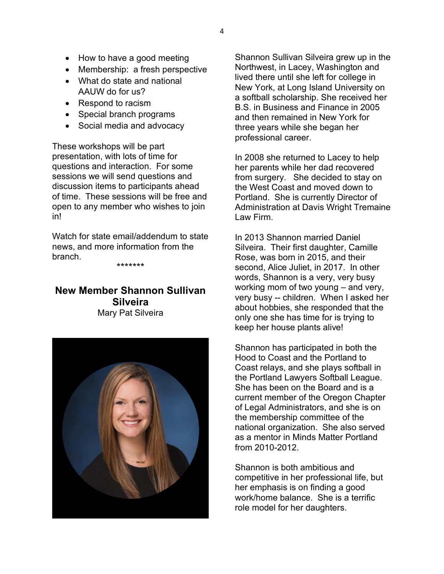- $\bullet$  How to have a good meeting
- $\bullet$  Membership: a fresh perspective
- What do state and national AAUW do for us?
- Respond to racism
- Special branch programs
- Social media and advocacy

These workshops will be part presentation, with lots of time for questions and interaction. For some sessions we will send questions and discussion items to participants ahead of time. These sessions will be free and open to any member who wishes to join in!

Watch for state email/addendum to state news, and more information from the branch.

\*\*\*\*\*\*\*

## **New Member Shannon Sullivan Silveira** Mary Pat Silveira



Shannon Sullivan Silveira grew up in the Northwest, in Lacey, Washington and lived there until she left for college in New York, at Long Island University on a softball scholarship. She received her B.S. in Business and Finance in 2005 and then remained in New York for three years while she began her professional career.

In 2008 she returned to Lacey to help her parents while her dad recovered from surgery. She decided to stay on the West Coast and moved down to Portland. She is currently Director of Administration at Davis Wright Tremaine Law Firm.

In 2013 Shannon married Daniel Silveira. Their first daughter, Camille Rose, was born in 2015, and their second, Alice Juliet, in 2017. In other words, Shannon is a very, very busy working mom of two young  $-$  and very, very busy -- children. When I asked her about hobbies, she responded that the only one she has time for is trying to keep her house plants alive!

Shannon has participated in both the Hood to Coast and the Portland to Coast relays, and she plays softball in the Portland Lawyers Softball League. She has been on the Board and is a current member of the Oregon Chapter of Legal Administrators, and she is on the membership committee of the national organization. She also served as a mentor in Minds Matter Portland from 2010-2012.

Shannon is both ambitious and competitive in her professional life, but her emphasis is on finding a good work/home balance. She is a terrific role model for her daughters.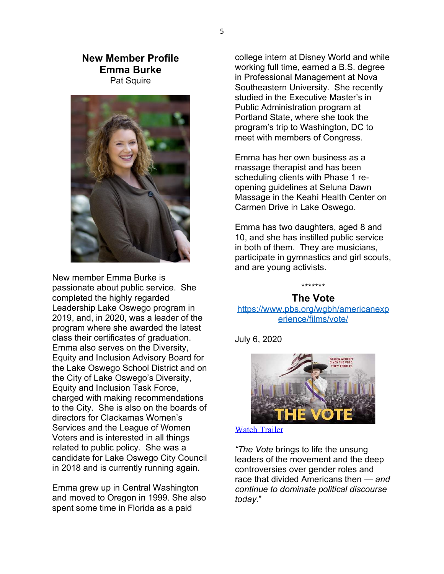## **New Member Profile Emma Burke** Pat Squire



New member Emma Burke is passionate about public service. She completed the highly regarded Leadership Lake Oswego program in 2019, and, in 2020, was a leader of the program where she awarded the latest class their certificates of graduation. Emma also serves on the Diversity, Equity and Inclusion Advisory Board for the Lake Oswego School District and on the City of Lake Oswego's Diversity, Equity and Inclusion Task Force, charged with making recommendations to the City. She is also on the boards of directors for Clackamas Women's Services and the League of Women Voters and is interested in all things related to public policy. She was a candidate for Lake Oswego City Council in 2018 and is currently running again.

Emma grew up in Central Washington and moved to Oregon in 1999. She also spent some time in Florida as a paid

college intern at Disney World and while working full time, earned a B.S. degree in Professional Management at Nova Southeastern University. She recently studied in the Executive Master's in Public Administration program at Portland State, where she took the program's trip to Washington, DC to meet with members of Congress.

Emma has her own business as a massage therapist and has been scheduling clients with Phase 1 reopening guidelines at Seluna Dawn Massage in the Keahi Health Center on Carmen Drive in Lake Oswego.

Emma has two daughters, aged 8 and 10, and she has instilled public service in both of them. They are musicians, participate in gymnastics and girl scouts, and are young activists.

#### \*\*\*\*\*\*\* **The Vote**

[https://www.pbs.org/wgbh/americanexp](https://www.pbs.org/wgbh/americanexperience/films/vote/) [erience/films/vote/](https://www.pbs.org/wgbh/americanexperience/films/vote/)

July 6, 2020



[Watch Trailer](https://www.pbs.org/wgbh/americanexperience/films/vote/%23part01) 

*"The Vote* brings to life the unsung leaders of the movement and the deep controversies over gender roles and race that divided Americans then *— and continue to dominate political discourse today.*´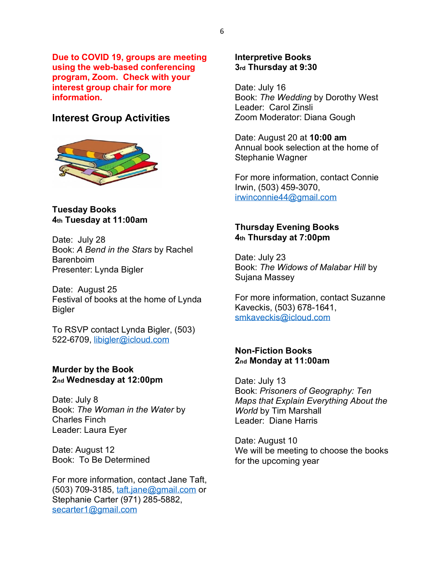**Due to COVID 19, groups are meeting using the web-based conferencing program, Zoom. Check with your interest group chair for more information.**

# **Interest Group Activities**



**Tuesday Books 4th Tuesday at 11:00am**

Date: July 28 Book: *A Bend in the Stars* by Rachel **Barenboim** Presenter: Lynda Bigler

Date: August 25 Festival of books at the home of Lynda Bigler

To RSVP contact Lynda Bigler, (503) 522-6709, [libigler@icloud.com](mailto:libigler@icloud.com)

#### **Murder by the Book 2nd Wednesday at 12:00pm**

Date: July 8 Book: *The Woman in the Water* by Charles Finch Leader: Laura Eyer

Date: August 12 Book: To Be Determined

For more information, contact Jane Taft, (503) 709-3185, [taft.jane@gmail.com](mailto:taft.jane@gmail.com) or Stephanie Carter (971) 285-5882, [secarter1@gmail.com](mailto:secarter1@gmail.com)

#### **Interpretive Books 3rd Thursday at 9:30**

Date: July 16 Book: *The Wedding* by Dorothy West Leader: Carol Zinsli Zoom Moderator: Diana Gough

Date: August 20 at **10:00 am** Annual book selection at the home of Stephanie Wagner

For more information, contact Connie Irwin, (503) 459-3070, [irwinconnie44@gmail.com](mailto:irwinconnie44@gmail.com)

#### **Thursday Evening Books 4th Thursday at 7:00pm**

Date: July 23 Book: *The Widows of Malabar Hill* by Sujana Massey

For more information, contact Suzanne Kaveckis, (503) 678-1641, [smkaveckis@icloud.com](mailto:smkaveckis@icloud.com)

### **Non-Fiction Books 2nd Monday at 11:00am**

Date: July 13 Book: *Prisoners of Geography: Ten Maps that Explain Everything About the World* by Tim Marshall Leader: Diane Harris

Date: August 10 We will be meeting to choose the books for the upcoming year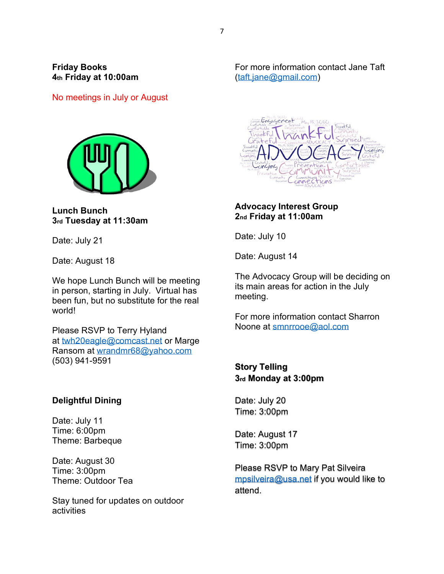## **Friday Books 4th Friday at 10:00am**

No meetings in July or August



**Lunch Bunch 3rd Tuesday at 11:30am**

Date: July 21

Date: August 18

We hope Lunch Bunch will be meeting in person, starting in July. Virtual has been fun, but no substitute for the real world!

Please RSVP to Terry Hyland at [twh20eagle@comcast.net](mailto:twh20eagle@comcast.net) or Marge Ransom at [wrandmr68@yahoo.com](mailto:wrandmr68@yahoo.com) (503) 941-9591

## **Delightful Dining**

Date: July 11 Time: 6:00pm Theme: Barbeque

Date: August 30 Time: 3:00pm Theme: Outdoor Tea

Stay tuned for updates on outdoor activities

For more information contact Jane Taft [\(taft.jane@gmail.com\)](mailto:taft.jane@gmail.com)



## **Advocacy Interest Group 2nd Friday at 11:00am**

Date: July 10

Date: August 14

The Advocacy Group will be deciding on its main areas for action in the July meeting.

For more information contact Sharron Noone at [smnrrooe@aol.com](mailto:smnrrooe@aol.com)

**Story Telling 3rd Monday at 3:00pm**

Date: July 20 Time: 3:00pm

Date: August 17 Time: 3:00pm

Please RSVP to Mary Pat Silveira [mpsilveira@usa.net](mailto:mpsilveira@usa.net) if you would like to attend.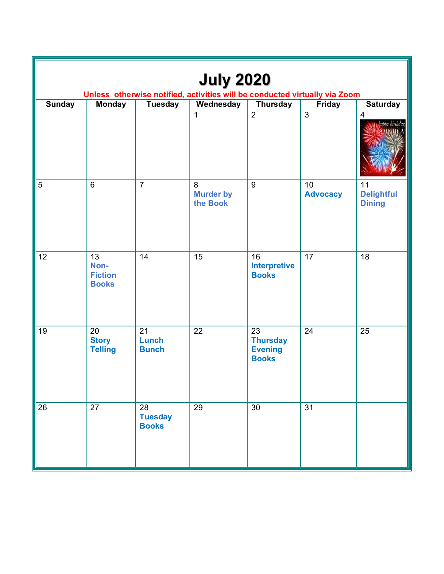| <b>July 2020</b><br>Unless otherwise notified, activities will be conducted virtually via Zoom |                                              |                                                   |                                   |                                                         |                       |                                          |  |  |  |  |  |
|------------------------------------------------------------------------------------------------|----------------------------------------------|---------------------------------------------------|-----------------------------------|---------------------------------------------------------|-----------------------|------------------------------------------|--|--|--|--|--|
| <b>Sunday</b>                                                                                  | <b>Monday</b>                                | <b>Tuesday</b>                                    | Wednesday                         | <b>Thursday</b>                                         | <b>Friday</b>         | <b>Saturday</b>                          |  |  |  |  |  |
|                                                                                                |                                              |                                                   | $\mathbf{1}$                      | $\overline{2}$                                          | $\overline{3}$        | $\overline{\mathbf{4}}$<br>appy birthday |  |  |  |  |  |
| 5                                                                                              | $6\phantom{1}$                               | $\overline{7}$                                    | 8<br><b>Murder by</b><br>the Book | 9                                                       | 10<br><b>Advocacy</b> | 11<br><b>Delightful</b><br><b>Dining</b> |  |  |  |  |  |
| 12                                                                                             | 13<br>Non-<br><b>Fiction</b><br><b>Books</b> | 14                                                | 15                                | 16<br><b>Interpretive</b><br><b>Books</b>               | 17                    | 18                                       |  |  |  |  |  |
| 19                                                                                             | 20<br><b>Story</b><br><b>Telling</b>         | 21<br>Lunch<br><b>Bunch</b>                       | 22                                | 23<br><b>Thursday</b><br><b>Evening</b><br><b>Books</b> | 24                    | 25                                       |  |  |  |  |  |
| 26                                                                                             | $\overline{27}$                              | $\overline{28}$<br><b>Tuesday</b><br><b>Books</b> | 29                                | 30                                                      | 31                    |                                          |  |  |  |  |  |